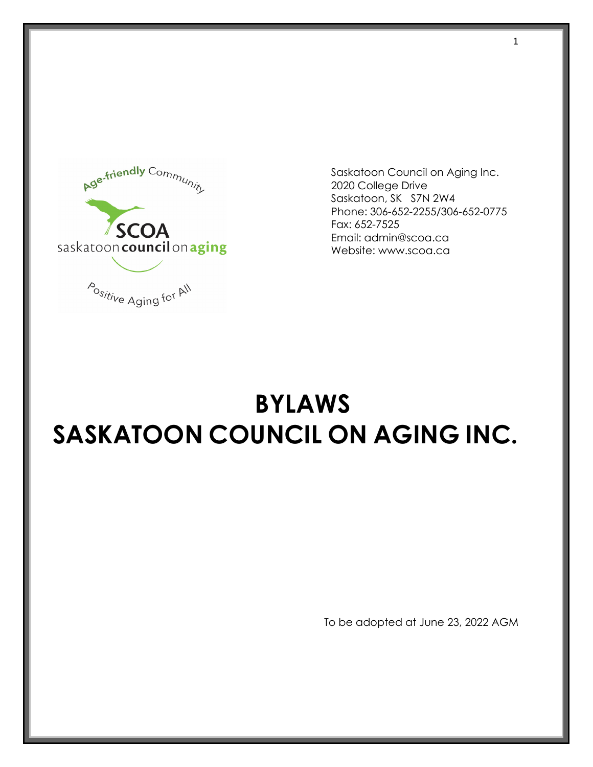

Saskatoon Council on Aging Inc. 2020 College Drive Saskatoon, SK S7N 2W4 Phone: 306-652-2255/306-652-0775 Fax: 652-7525 Email: admin@scoa.ca Website: www.scoa.ca

# **BYLAWS SASKATOON COUNCIL ON AGING INC.**

To be adopted at June 23, 2022 AGM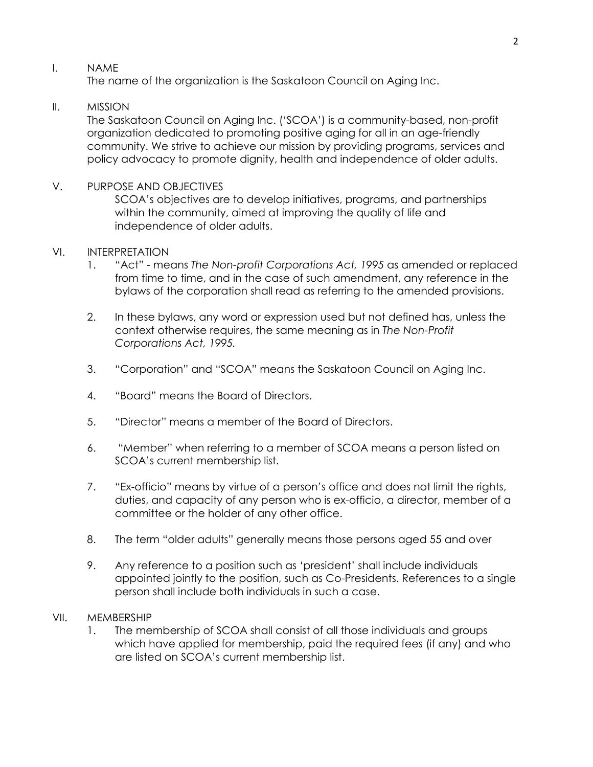#### I. NAME

The name of the organization is the Saskatoon Council on Aging Inc.

# II. MISSION

The Saskatoon Council on Aging Inc. ('SCOA') is a community-based, non-profit organization dedicated to promoting positive aging for all in an age-friendly community. We strive to achieve our mission by providing programs, services and policy advocacy to promote dignity, health and independence of older adults.

V. PURPOSE AND OBJECTIVES SCOA's objectives are to develop initiatives, programs, and partnerships within the community, aimed at improving the quality of life and independence of older adults.

# VI. INTERPRETATION

- 1. "Act" means *The Non-profit Corporations Act, 1995* as amended or replaced from time to time, and in the case of such amendment, any reference in the bylaws of the corporation shall read as referring to the amended provisions.
- 2. In these bylaws, any word or expression used but not defined has, unless the context otherwise requires, the same meaning as in *The Non-Profit Corporations Act, 1995.*
- 3. "Corporation" and "SCOA" means the Saskatoon Council on Aging Inc.
- 4. "Board" means the Board of Directors.
- 5. "Director" means a member of the Board of Directors.
- 6. "Member" when referring to a member of SCOA means a person listed on SCOA's current membership list.
- 7. "Ex-officio" means by virtue of a person's office and does not limit the rights, duties, and capacity of any person who is ex-officio, a director, member of a committee or the holder of any other office.
- 8. The term "older adults" generally means those persons aged 55 and over
- 9. Any reference to a position such as 'president' shall include individuals appointed jointly to the position, such as Co-Presidents. References to a single person shall include both individuals in such a case.

#### VII. MEMBERSHIP

1. The membership of SCOA shall consist of all those individuals and groups which have applied for membership, paid the required fees (if any) and who are listed on SCOA's current membership list.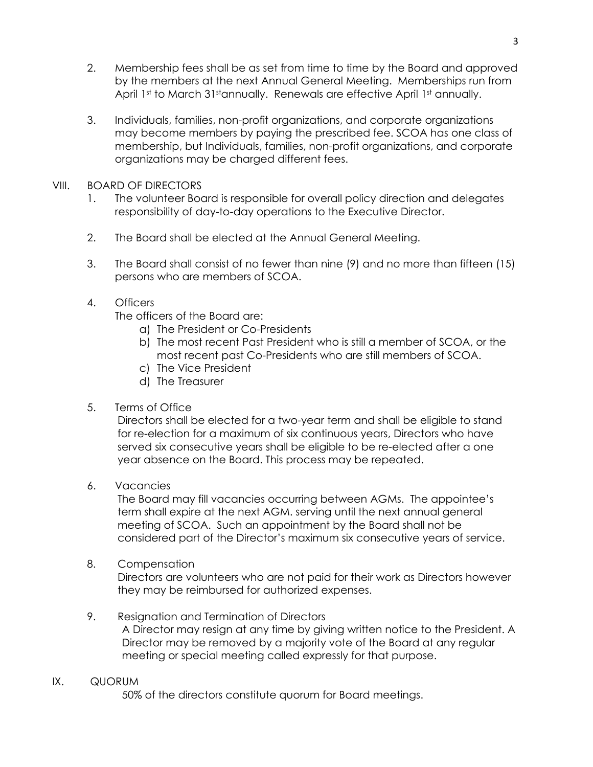- 2. Membership fees shall be as set from time to time by the Board and approved by the members at the next Annual General Meeting. Memberships run from April 1st to March 31stannually. Renewals are effective April 1st annually.
- 3. Individuals, families, non-profit organizations, and corporate organizations may become members by paying the prescribed fee. SCOA has one class of membership, but Individuals, families, non-profit organizations, and corporate organizations may be charged different fees.

#### VIII. BOARD OF DIRECTORS

- 1. The volunteer Board is responsible for overall policy direction and delegates responsibility of day-to-day operations to the Executive Director.
- 2. The Board shall be elected at the Annual General Meeting.
- 3. The Board shall consist of no fewer than nine (9) and no more than fifteen (15) persons who are members of SCOA.

# 4. Officers

The officers of the Board are:

- a) The President or Co-Presidents
- b) The most recent Past President who is still a member of SCOA, or the most recent past Co-Presidents who are still members of SCOA.
- c) The Vice President
- d) The Treasurer
- 5. Terms of Office

Directors shall be elected for a two-year term and shall be eligible to stand for re-election for a maximum of six continuous years, Directors who have served six consecutive years shall be eligible to be re-elected after a one year absence on the Board. This process may be repeated.

6. Vacancies

The Board may fill vacancies occurring between AGMs. The appointee's term shall expire at the next AGM. serving until the next annual general meeting of SCOA. Such an appointment by the Board shall not be considered part of the Director's maximum six consecutive years of service.

8. Compensation

 Directors are volunteers who are not paid for their work as Directors however they may be reimbursed for authorized expenses.

- 9. Resignation and Termination of Directors A Director may resign at any time by giving written notice to the President. A Director may be removed by a majority vote of the Board at any regular meeting or special meeting called expressly for that purpose.
- IX. QUORUM

50% of the directors constitute quorum for Board meetings.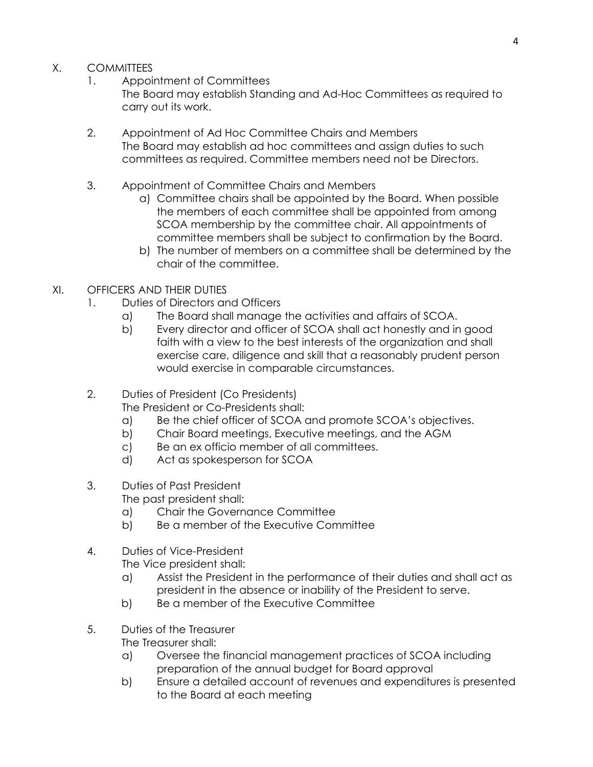- X. COMMITTEES
	- 1. Appointment of Committees
		- The Board may establish Standing and Ad-Hoc Committees as required to carry out its work.
	- 2. Appointment of Ad Hoc Committee Chairs and Members The Board may establish ad hoc committees and assign duties to such committees as required. Committee members need not be Directors.
	- 3. Appointment of Committee Chairs and Members
		- a) Committee chairs shall be appointed by the Board. When possible the members of each committee shall be appointed from among SCOA membership by the committee chair. All appointments of committee members shall be subject to confirmation by the Board.
		- b) The number of members on a committee shall be determined by the chair of the committee.
- XI. OFFICERS AND THEIR DUTIES
	- 1. Duties of Directors and Officers
		- a) The Board shall manage the activities and affairs of SCOA.
		- b) Every director and officer of SCOA shall act honestly and in good faith with a view to the best interests of the organization and shall exercise care, diligence and skill that a reasonably prudent person would exercise in comparable circumstances.
	- 2. Duties of President (Co Presidents)

The President or Co-Presidents shall:

- a) Be the chief officer of SCOA and promote SCOA's objectives.
- b) Chair Board meetings, Executive meetings, and the AGM
- c) Be an ex officio member of all committees.
- d) Act as spokesperson for SCOA
- 3. Duties of Past President The past president shall:
	- a) Chair the Governance Committee
	- b) Be a member of the Executive Committee
- 4. Duties of Vice-President The Vice president shall:
	- a) Assist the President in the performance of their duties and shall act as president in the absence or inability of the President to serve.
	- b) Be a member of the Executive Committee
- 5. Duties of the Treasurer The Treasurer shall:
	- a) Oversee the financial management practices of SCOA including preparation of the annual budget for Board approval
	- b) Ensure a detailed account of revenues and expenditures is presented to the Board at each meeting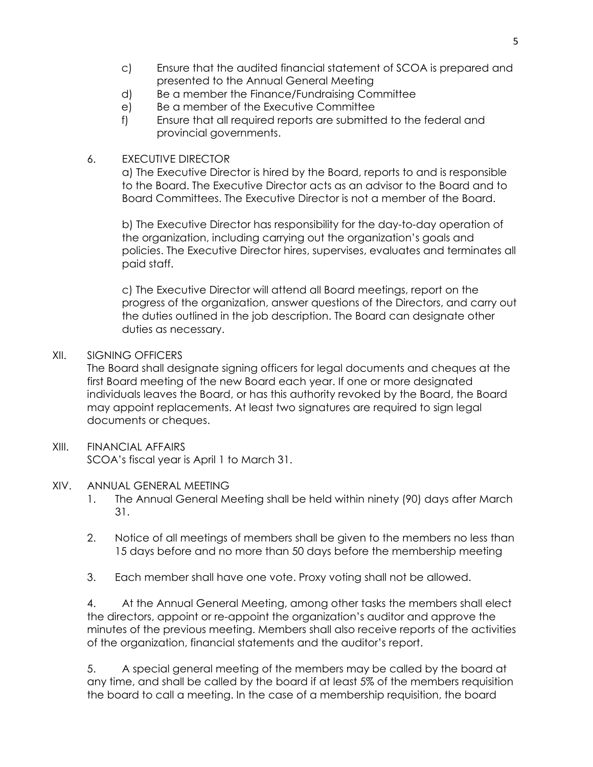- c) Ensure that the audited financial statement of SCOA is prepared and presented to the Annual General Meeting
- d) Be a member the Finance/Fundraising Committee
- e) Be a member of the Executive Committee
- f) Ensure that all required reports are submitted to the federal and provincial governments.

# 6. EXECUTIVE DIRECTOR

a) The Executive Director is hired by the Board, reports to and is responsible to the Board. The Executive Director acts as an advisor to the Board and to Board Committees. The Executive Director is not a member of the Board.

b) The Executive Director has responsibility for the day-to-day operation of the organization, including carrying out the organization's goals and policies. The Executive Director hires, supervises, evaluates and terminates all paid staff.

c) The Executive Director will attend all Board meetings, report on the progress of the organization, answer questions of the Directors, and carry out the duties outlined in the job description. The Board can designate other duties as necessary.

# XII. SIGNING OFFICERS

The Board shall designate signing officers for legal documents and cheques at the first Board meeting of the new Board each year. If one or more designated individuals leaves the Board, or has this authority revoked by the Board, the Board may appoint replacements. At least two signatures are required to sign legal documents or cheques.

#### XIII. FINANCIAL AFFAIRS SCOA's fiscal year is April 1 to March 31.

#### XIV. ANNUAL GENERAL MEETING

- 1. The Annual General Meeting shall be held within ninety (90) days after March 31.
- 2. Notice of all meetings of members shall be given to the members no less than 15 days before and no more than 50 days before the membership meeting
- 3. Each member shall have one vote. Proxy voting shall not be allowed.

4. At the Annual General Meeting, among other tasks the members shall elect the directors, appoint or re-appoint the organization's auditor and approve the minutes of the previous meeting. Members shall also receive reports of the activities of the organization, financial statements and the auditor's report.

5. A special general meeting of the members may be called by the board at any time, and shall be called by the board if at least 5% of the members requisition the board to call a meeting. In the case of a membership requisition, the board